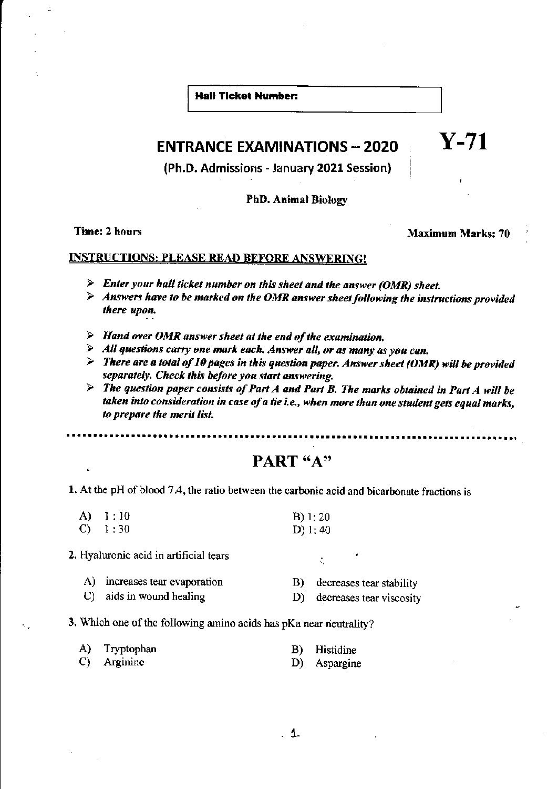**Hall Ticket Number:** 

### **ENTRANCE EXAMINATIONS - 2020**

(Ph.D. Admissions - January 2021 Session)

### **PhD. Animal Biology**

Time: 2 hours

**Maximum Marks: 70** 

 $Y-71$ 

#### **INSTRUCTIONS: PLEASE READ BEFORE ANSWERING!**

- $\triangleright$  Enter your hall ticket number on this sheet and the answer (OMR) sheet.
- $\triangleright$  Answers have to be marked on the OMR answer sheet following the instructions provided there upon.
- $\triangleright$  Hand over OMR answer sheet at the end of the examination.
- $\triangleright$  All questions carry one mark each. Answer all, or as many as you can.
- $\triangleright$  There are a total of 10 pages in this question paper. Answer sheet (OMR) will be provided separately. Check this before you start answering.
- $\triangleright$  The question paper consists of Part A and Part B. The marks obtained in Part A will be taken into consideration in case of a tie i.e., when more than one student gets equal marks, to prepare the merit list.

### PART "A"

1. At the pH of blood 7.4, the ratio between the carbonic acid and bicarbonate fractions is

- $\mathbf{A}$  $-1:10$  $B) 1: 20$  $1:30$  $\mathbf{C}$  $D$ ) 1:40
- 2. Hyaluronic acid in artificial tears
	- A) increases tear evaporation decreases tear stability B)
	- C) aids in wound healing decreases tear viscosity D)
- 3. Which one of the following amino acids has pKa near neutrality?

| A) Tryptophan | <b>B</b> ) H |
|---------------|--------------|
|               |              |

C) Arginine

Iistidine D) Aspargine

 $\ddot{\Omega}$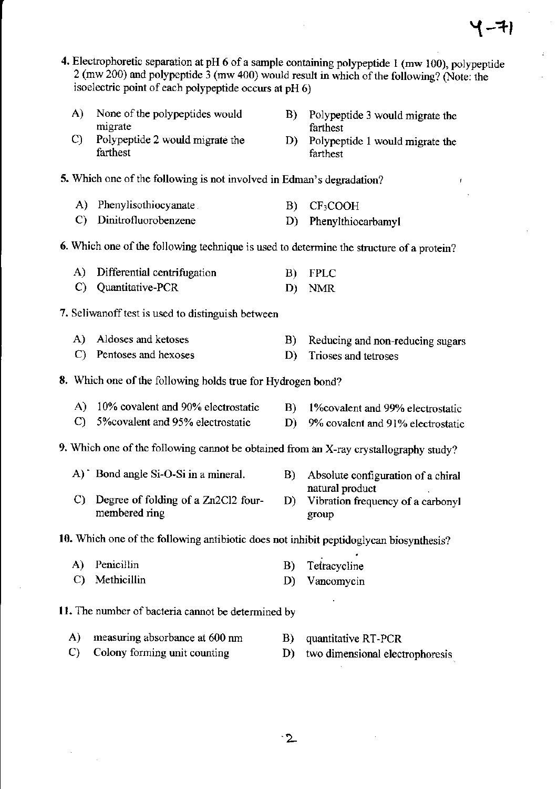- 4. Electrophoretic separation at pH 6 of a sample containing polypeptide 1 (mw 100), polypeptide 2 (mw 200) and polypeptide 3 (mw 400) would result in which of the following? (Note: the isoelectric point of each polypeptide occurs at pH 6)
	- $\mathbf{A}$ None of the polypeptides would migrate
	- Polypeptide 2 would migrate the  $\mathbf{C}$ farthest
- $\bf{B}$ Polypeptide 3 would migrate the farthest
- D) Polypeptide 1 would migrate the farthest
- 5. Which one of the following is not involved in Edman's degradation?
	- A) Phenylisothiocyanate  $B)$  $CF<sub>3</sub>COOH$
	- C) Dinitrofluorobenzene  $D$ ) Phenylthiocarbamyl

### 6. Which one of the following technique is used to determine the structure of a protein?

- A) Differential centrifugation **FPLC**  $B$ ) C) Quantitative-PCR D) NMR
- 7. Seliwan off test is used to distinguish between
	- A) Aldoses and ketoses Reducing and non-reducing sugars **B**)
	- C) Pentoses and hexoses D) Trioses and tetroses

8. Which one of the following holds true for Hydrogen bond?

- A) 10% covalent and 90% electrostatic B)
- 5% covalent and 95% electrostatic  $\mathbf{C}$
- 9. Which one of the following cannot be obtained from an X-ray crystallography study?
	- A) Bond angle Si-O-Si in a mineral.
	- C) Degree of folding of a  $Zn2Cl2$  fourmembered ring

10. Which one of the following antibiotic does not inhibit peptidoglycan biosynthesis?

- A) Penicillin Tetracycline  $B)$
- C) Methicillin D) Vancomycin
- 11. The number of bacteria cannot be determined by
	- $\mathbf{A}$ measuring absorbance at 600 nm **B**) quantitative RT-PCR
	- $\mathbf{C}$ Colony forming unit counting
- two dimensional electrophoresis
- $\cdot$  2
- 1\% ovalent and 99% electrostatic
- D) 9% covalent and 91% electrostatic
- B) Absolute configuration of a chiral natural product
- D) Vibration frequency of a carbonyl group

D)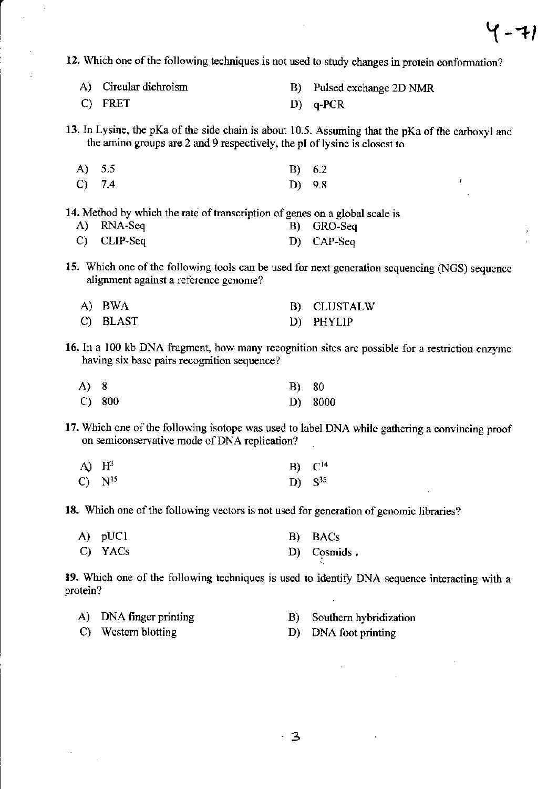12. Which one of the following techniques is not used to study changes in protein conformation?

- A) Circular dichroism B) Pulsed exchange 2D NMR
- C) FRET D) q-PCR

13. In Lysine, tbe pKa of the side chain is about 10.5. Assuming that the pKa of the carboxyl and the amino groups are 2 and 9 respectively, the pl of lysine is closest to

A)  $5.5$  B)  $6.2$  $\overline{C}$ ) 7.4 D) 9.8

14. Method by which the rate of transcription of genes on a global scale is A) RNA-Seq B) GRO-Seq

- 
- C) CLIP-Seq D) CAP-Seq
- 15. Which one of the following tools can be used for next generation sequencing (NGS) sequence alignment against a reference genome?

| A) BWA   | B) CLUSTALW |
|----------|-------------|
| C) BLAST | D) PHYLIP   |

16. In a 100 kb DNA fragment, how many recognition sites are possible for a restriction enzyme having six base pairs recognition sequence?

| A) 8 |        | <b>B</b> ) 80 |         |
|------|--------|---------------|---------|
|      | C) 800 |               | D) 8000 |

17. Which one of the following isotope was used to label DNA while gathering a convincing proof on semiconservative mode of DNA replication?

| A) $H^3$    | $B) C^{14}$ |
|-------------|-------------|
| $C) N^{15}$ | D) $S^{35}$ |

18. Which one of the following vectors is not used for generation of genomic libraries?

| A) pUC1 | B) BACs     |
|---------|-------------|
| C) YACs | D) Cosmids. |

19. Which one of the following techniques is used to identify DNA sequence interacting with a protein?

| A) DNA finger printing | B) Southern hybridization |
|------------------------|---------------------------|
| C) Western blotting    | D) DNA foot printing      |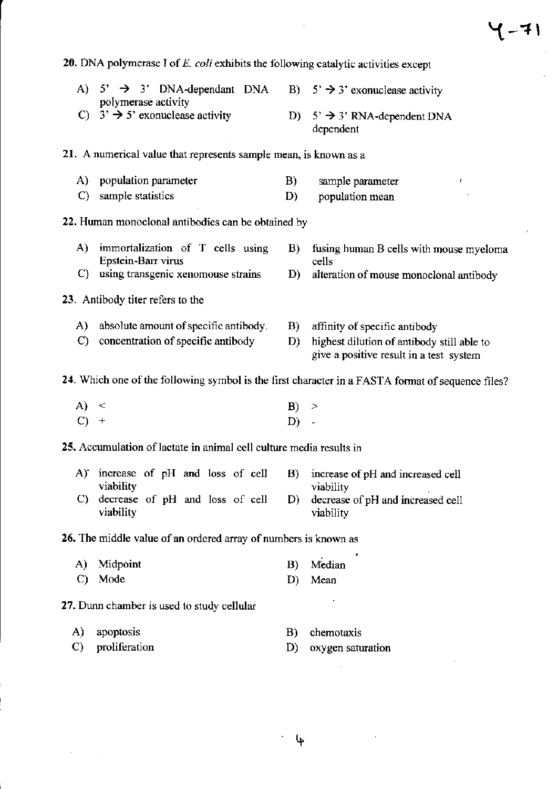|               | 20. DNA polymerase $I$ of $E$ . coli exhibits the following catalytic activities except |             |                                                                                                   |
|---------------|-----------------------------------------------------------------------------------------|-------------|---------------------------------------------------------------------------------------------------|
|               | A) $5'$ $\rightarrow$ 3' DNA-dependant DNA<br>polymerase activity                       |             | B) $5' \rightarrow 3'$ exonuclease activity                                                       |
|               | C) $3' \rightarrow 5'$ exonuclease activity                                             | D)          | $5'$ $\rightarrow$ 3' RNA-dependent DNA<br>dependent                                              |
|               | 21. A numerical value that represents sample mean, is known as a                        |             |                                                                                                   |
| A)            | population parameter                                                                    | B)          | sample parameter<br>Ť.                                                                            |
| $\mathbf{C}$  | sample statistics                                                                       | D)          | population mean                                                                                   |
|               | 22. Human monoclonal antibodies can be obtained by                                      |             |                                                                                                   |
| A)            | immortalization of T cells using<br>Epstein-Barr virus                                  | <b>B</b> )  | fusing human B cells with mouse myeloma<br>cells                                                  |
| $\mathcal{C}$ | using transgenic xenomouse strains                                                      | D)          | alteration of mouse monoclonal antibody                                                           |
|               | 23. Antibody titer refers to the                                                        |             |                                                                                                   |
| A)            | absolute amount of specific antibody.                                                   | B)          | affinity of specific antibody                                                                     |
| $\mathbf{C}$  | concentration of specific antibody                                                      | D)          | highest dilution of antibody still able to<br>give a positive result in a test system             |
|               |                                                                                         |             | 24. Which one of the following symbol is the first character in a FASTA format of sequence files? |
| A) <          |                                                                                         | $ B\rangle$ | ⋗                                                                                                 |
|               | $^{+}$                                                                                  | D)          |                                                                                                   |
|               | 25. Accumulation of lactate in animal cell culture media results in                     |             |                                                                                                   |
|               | A) increase of pH and loss of cell                                                      | B)          | increase of pH and increased cell                                                                 |
| C)            | viability<br>decrease of pH and loss of cell<br>viability                               | D)          | viability<br>decrease of pH and increased cell                                                    |
|               |                                                                                         |             | viability                                                                                         |
|               | 26. The middle value of an ordered array of numbers is known as                         |             |                                                                                                   |
| A)            | Midpoint                                                                                | B)          | Median                                                                                            |
| C)            | Mode                                                                                    | D)          | Mean                                                                                              |
|               | 27. Dunn chamber is used to study cellular                                              |             |                                                                                                   |
| A)            | apoptosis                                                                               | B)          | chemotaxis                                                                                        |
| C)            | proliferation                                                                           | D)          | oxygen saturation                                                                                 |
|               |                                                                                         |             |                                                                                                   |

 $\mathcal{L}^{\text{max}}_{\text{max}}$  , where  $\mathcal{L}^{\text{max}}_{\text{max}}$ 

'tt

 $\label{eq:2.1} \frac{1}{\sqrt{2}}\sum_{i=1}^n\frac{1}{\sqrt{2}}\sum_{i=1}^n\frac{1}{\sqrt{2}}\sum_{i=1}^n\frac{1}{\sqrt{2}}\sum_{i=1}^n\frac{1}{\sqrt{2}}\sum_{i=1}^n\frac{1}{\sqrt{2}}\sum_{i=1}^n\frac{1}{\sqrt{2}}\sum_{i=1}^n\frac{1}{\sqrt{2}}\sum_{i=1}^n\frac{1}{\sqrt{2}}\sum_{i=1}^n\frac{1}{\sqrt{2}}\sum_{i=1}^n\frac{1}{\sqrt{2}}\sum_{i=1}^n\frac$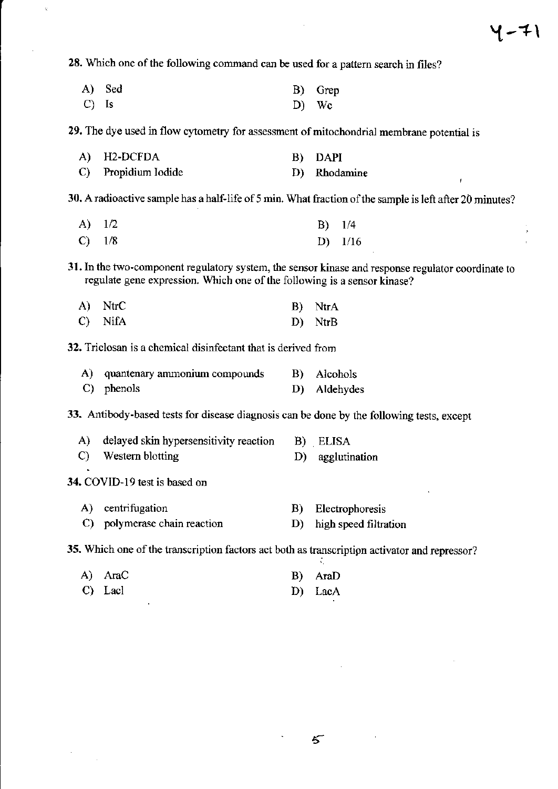×

28. Which one of the following command can be used for a pattern search in files?

|         | A) Sed | B) Grep |
|---------|--------|---------|
| $C)$ Is |        | D) Wc   |

29. The dye used in flow cytometry for assessment of mitochondrial membrane potential is

| A) H2-DCFDA         | B) DAPI      |
|---------------------|--------------|
| C) Propidium Iodide | D) Rhodamine |

30. A radioactive sample has a half-life of 5 min. What fraction of the sample is left after 20 minutes?

| A) 1/2   | $B)$ 1/4  |
|----------|-----------|
| $C)$ 1/8 | D) $1/16$ |

31, ln the two-component regulatory system, the sensor kinase and response regulator coordinate to regulate gene expression. Which one of the following is a sensor kinase?

| A) NtrC | B) NtrA |
|---------|---------|
| C) NifA | D) NtrB |

32. Triclosan is a chemical disinfectant that is derived from

| A) quantenary ammonium compounds | B) Alcohols  |
|----------------------------------|--------------|
| $C$ ) phenols                    | D) Aldehydes |

33. Antibody-based tests for disease diagnosis can be done by the following tests, except

| A) delayed skin hypersensitivity reaction B) ELISA |                  |
|----------------------------------------------------|------------------|
| C) Western blotting                                | D) agglutination |

34. COVID-I9 test is based on

| A) centrifugation            | B) Electrophoresis       |
|------------------------------|--------------------------|
| C) polymerase chain reaction | D) high speed filtration |

35. Which one of the transcription factors act both as transcription activator and repressor?

| A) AraC | B) AraD |
|---------|---------|
| C) Lacl | D) LacA |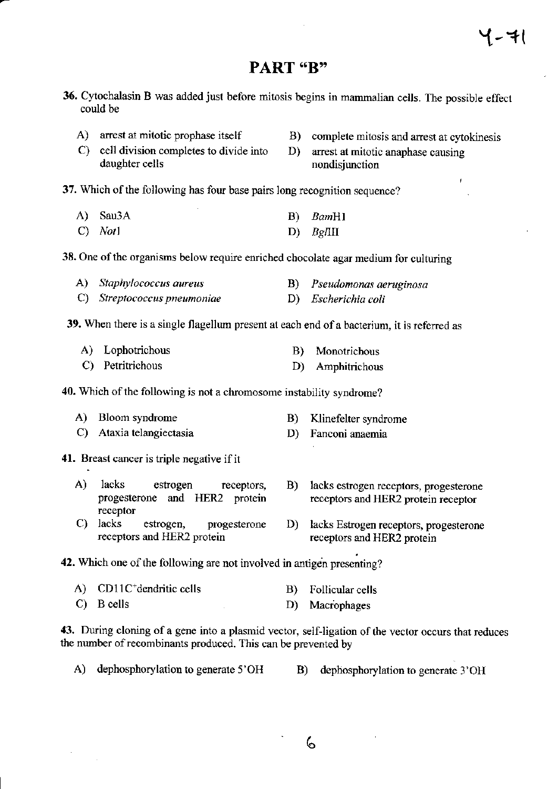# **PART** "R"

- 36. Cytochalasin B was added just before mitosis begins in mammalian cells. The possible effect could be
	- A) arrest at mitotic prophase itself
- **B**) complete mitosis and arrest at cytokinesis
- C) cell division completes to divide into daughter cells
- D) arrest at mitotic anaphase causing nondisjunction
- 37. Which of the following has four base pairs long recognition sequence?
	- $A)$ Sau3A  $B)$ BamH1  $C)$  Not  $B$ *g* $\Pi$ II D)
- 38. One of the organisms below require enriched chocolate agar medium for culturing
	- A) Staphylococcus aureus Pseudomonas aeruginosa **B**)
	- D) Escherichia coli C) Streptococcus pneumoniae
- 39. When there is a single flagellum present at each end of a bacterium, it is referred as
	- A) Lophotrichous  $\mathbf{B}$ ) Monotrichous C) Petritrichous
	- D) Amphitrichous

40. Which of the following is not a chromosome instability syndrome?

- A) Bloom syndrome Klinefelter syndrome B)
- C) Ataxia telangiectasia D) Fanconi anaemia

#### 41. Breast cancer is triple negative if it

- $\mathbf{A}$ lacks estrogen receptors, progesterone and HER2 protein receptor
- C) lacks estrogen, progesterone receptors and HER2 protein
- B) lacks estrogen receptors, progesterone receptors and HER2 protein receptor
- D) lacks Estrogen receptors, progesterone receptors and HER2 protein

#### 42. Which one of the following are not involved in antigen presenting?

A) CD11C<sup>+</sup>dendritic cells Follicular cells  $\vert B \rangle$ C) B cells D) Macrophages

43. During cloning of a gene into a plasmid vector, self-ligation of the vector occurs that reduces the number of recombinants produced. This can be prevented by

- A) dephosphorylation to generate 5'OH
- B) dephosphorylation to generate 3'OH
	- 6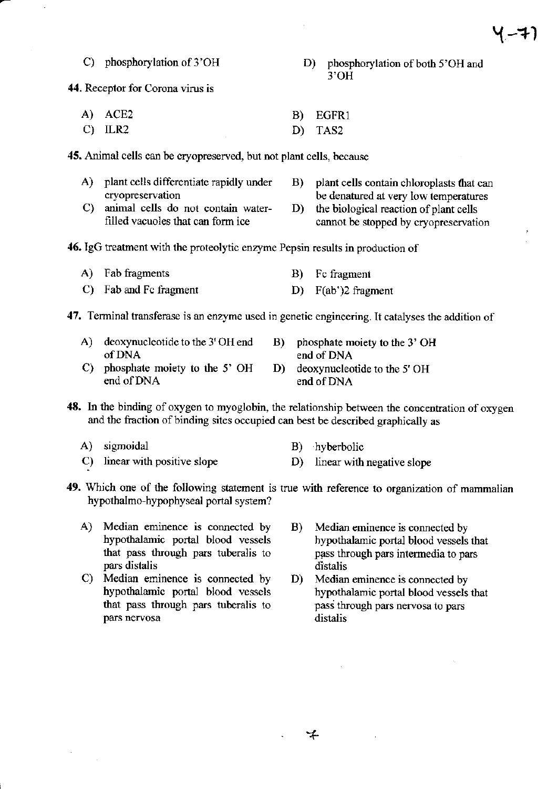### C) phosphorylation of 3'OH D) phosphorylation of both 5'OH and 3'OH

44. Receptor for Corona virus is

A) ACE2 B) EGFR1 C) ILR2 D) TAS2

45. Animal cells can be cryopreserved, but not plant cells, because

- 
- 
- A) plant cells differentiate rapidly under B) plant cells contain chloroplasts that can cryopreservation be denatured at very low temperatures C) animal cells do not contain water- D) the biological reaction of plant cells
	-
- cannot be stopped by cryopreservation
- 46. IgG treatment with the proteolytic enzyme Pepsin results in production of
	- A) Fab fragments B) Fc fragment
	- C) Fab and Fc fragment D) F(ab')2 fragment

47. Terminal transferase is an enzyme used in genetic engineering. It catalyses the addition of

- A) deoxynucleotide to the 3' OH end B) phosphate moiety to the 3' OH of DNA end of DNA
- 
- C) phosphate moiety to the 5' OH D) deoxynucleotide to the 5' OH end of DNA

- 48. ln the binding of oxygen to myoglobin, the relationship between the concentation of oxygen and the fraction of binding sites occupied can best be described graphically as
	-
	- A) sigmoidal B) hyberbolic
	- C) linear with positive slope D) linear with negative slope
- 49. Which one of the following statement is true with reference to organization of mammalian hypothalmo-hypophyseal portal system?
	- A) Median eminence is connected by B) Median eminence is connected by hypothalamic portal blood vessels that pass through pars tuberalis to
	- C) Median eminence is connected by D) hypothalamic portal blood vessels pars nervosa
- hypothalamic portal blood vessels that<br>pass through pars intermedia to pars pars distalis distalis distalis distalis distalis distaliant eminence is connected by D) Median eminence is connected by
	- hypothalamic portal blood vessels that that pass through pars tuberalis to pass through pars nervosa to pars pars nervosa to pars distalis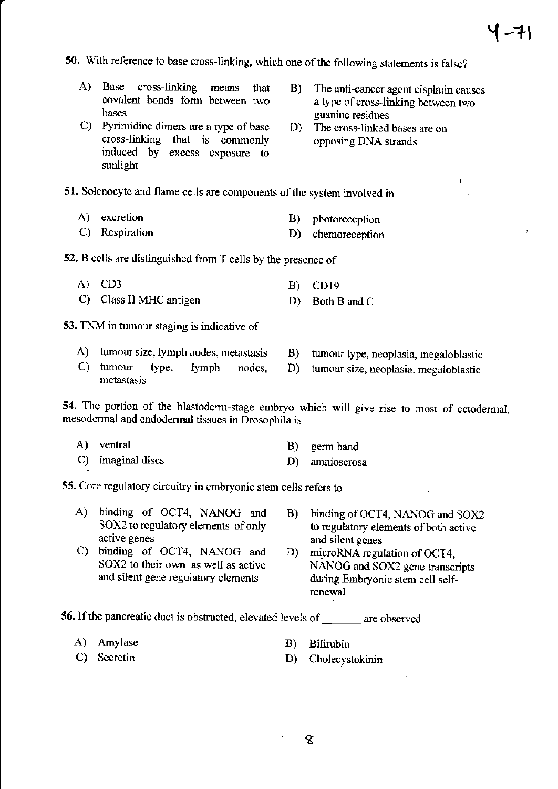$4 - 71$ 

50. With reference to base cross-linking, which one of the following statements is false?

- A) Base cross-linking means that covalent bonds form between two bases
- $C$ ) Pyrimidine dimers are a type of base cross-linking that is commonly induced by excess exposure to sunlight
- B) The anti-carcer agent cisplatin causes a type of cross-linking between two<br>guanine residues
- D) The cross-linked bases are on opposing DNA strands

51. Solenocyte and flame cells are components of the system involved in

- 
- A) excretion B) photoreception
- C) Respiration D) chemoreception

52, B cells are distinguished from T cells by the presence of

- A) CD3 B) CDlg
- C) Class II MHC antigen D) Both B and C

53. TNM in tumour staging is indicative of

- A) tumour size, lymph nodes, metastasis B) tumour type, neoplasia, megaloblastic
- C) tumour type, lymph nodes, D) tumour size, neoplasia, megaloblastic metastasis

54. The portion of the blastoderm-stage embryo which will give rise to most of ectodermal, mesodermal and endodermal tissues in Drosophila is

A) ventral C) imaginal discs B) germ band D) annioserosa

55. Core regulatory circuitry in embryonic stem cells refers to

- A) binding of OCT4, NANOG and B) binding of OCT4, NANOG and SOX2<br>SOX2 to regulatory elements of only to regulatory elements of both active
- C) binding of OCT4, NANOG and SOX2 to their own as well as active and silent gene regulatory elements
- SOX2 to regulatory elements of only to regulatory elements of both active<br>active genes and silent genes and silent genes
	- D) microRNA regulation of OCT4, NANOG and SOX2 gene transcripts during Embryonic stem cell selftenewal

56. If the pancreatic duct is obstructed, elevated levels of \_\_\_\_\_\_ are observed

A) Amylase

B) Bilirubin

C) Secretin

- 
- D) Cholecystokinin
- 
- 
-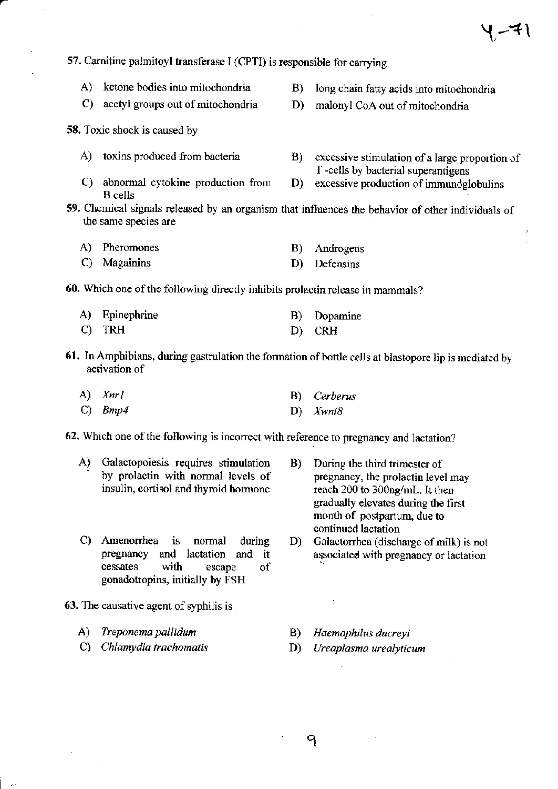$-1$ 

A) ketone bodies into mitochondria B) long chain fatty acids into mitochondria C) acetyl groups out of mitochondria D) malonyl CoA out of mitochondria 58. Toxic shock is caused by A) toxins produced from bacteria B) excessive stimulation of a large proportion of T -cells by bacterial superantigens C) abnormal cytokine production from D) excessive production of immundglobulins B cells 59. Chemical signals released by an organism that inlluences the behavior of other individuals of the same species are A) Pheromones B) Androgens C) Magainins D) Defensins 60. Which one of the following directly inhibits prolactin release in mammals? A) Epinephrine B) Dopamine C) TRH D) CRH 61. In Amphibians, during gastrulation the formation of bottle cells at blastopore lip is mediated by activation of

A) Xnrl B) Cerberus

57. Carnitine palmitoyl transferase I (CPTI) is responsible for carrying

C)  $Bmp4$  D)  $Xwnt8$ 

62. Which one of the following is incorrect with reference to pregnancy and lactation?

- A) Galactopoiesis requires stimulation B) During the third trimester of by prolactin with normal levels of pregnancy, the prolactin level may insulin, cortisol and thyroid hormone reach 200 to 300ng/mL. It then insulin, cortisol and thyroid hormone
- continued lactation<br>C) Amenorrhea is normal during D) Galactorrhea (discharge of milk) is not<br>pregnancy and lactation and it associated with pregnancy or lactation cessates with escape of goaadotropins, initially by FSH
- 63. The causative agent of syphilis is
	-
	-
- gradually elevates during the first month of postpartum, due to
- associated with pregnancy or lactation
- A) Treponema pallidum B) Haemophilus ducreyi
- C) Chlamydia trachomatis (D) Ureaplasma urealyticum
- 

9

'q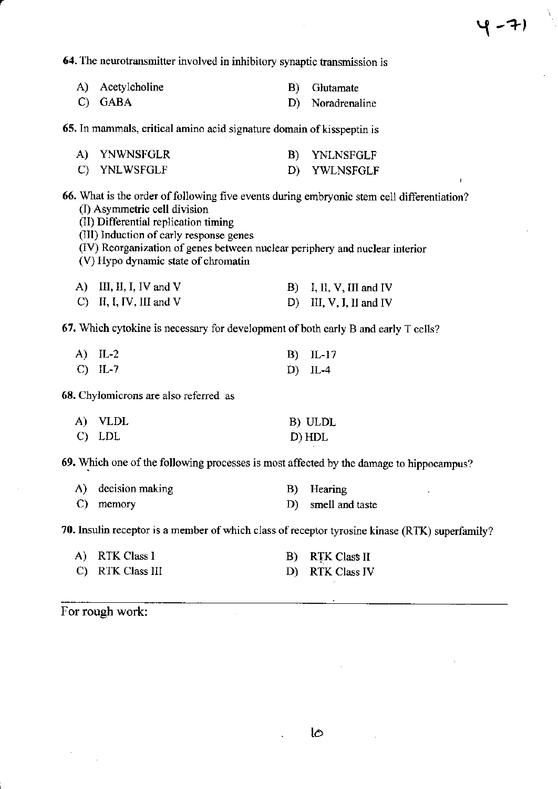$\hat{\mathbf{r}}$ 

<u> 1980 - Johann Barnett, fransk politiker (d. 1980)</u>

 $\sim$  .

64. The neurotransmitter involved in inhibitory synaptic transmission is

| A)                                                                                                                                                                                                                                                                                                                                  | Acetylcholine             | B) | Glutamate                         |  |  |
|-------------------------------------------------------------------------------------------------------------------------------------------------------------------------------------------------------------------------------------------------------------------------------------------------------------------------------------|---------------------------|----|-----------------------------------|--|--|
| C)                                                                                                                                                                                                                                                                                                                                  | <b>GABA</b>               | D) | Noradrenaline                     |  |  |
| 65. In mammals, critical amino acid signature domain of kisspeptin is                                                                                                                                                                                                                                                               |                           |    |                                   |  |  |
|                                                                                                                                                                                                                                                                                                                                     | A) YNWNSFGLR              | B) | <b>YNLNSFGLF</b>                  |  |  |
|                                                                                                                                                                                                                                                                                                                                     | C) YNLWSFGLF              | D) | YWLNSFGLF<br>Ť.                   |  |  |
| 66. What is the order of following five events during embryonic stem cell differentiation?<br>(I) Asymmetric cell division<br>(II) Differential replication timing<br>(III) Induction of early response genes<br>(IV) Reorganization of genes between nuclear periphery and nuclear interior<br>(V) Hypo dynamic state of chromatin |                           |    |                                   |  |  |
|                                                                                                                                                                                                                                                                                                                                     | A) III, II, I, IV and V   |    | $\mathbf{B}$ I, II, V, III and IV |  |  |
|                                                                                                                                                                                                                                                                                                                                     | $C)$ II, I, IV, III and V |    | D) III, V, I, II and IV           |  |  |
| 67. Which cytokine is necessary for development of both early B and early T cells?                                                                                                                                                                                                                                                  |                           |    |                                   |  |  |
|                                                                                                                                                                                                                                                                                                                                     | $A)$ IL-2                 | B) | $IL-17$                           |  |  |
|                                                                                                                                                                                                                                                                                                                                     | $C)$ IL-7                 | D) | $IL-4$                            |  |  |
| 68. Chylomicrons are also referred as                                                                                                                                                                                                                                                                                               |                           |    |                                   |  |  |
| A)                                                                                                                                                                                                                                                                                                                                  | <b>VLDL</b>               |    | B) ULDL                           |  |  |
| $\mathbf{C}$                                                                                                                                                                                                                                                                                                                        | <b>LDL</b>                |    | D) HDL                            |  |  |
| 69. Which one of the following processes is most affected by the damage to hippocampus?                                                                                                                                                                                                                                             |                           |    |                                   |  |  |

| A) decision making | B) Hearing         |
|--------------------|--------------------|
| C) memory          | D) smell and taste |

70. Insulin receptor is a member of which class of receptor tyrosine kinase (RTK) superfamily?

| A) RTK Class I   | B) RTK Class II |
|------------------|-----------------|
| C) RTK Class III | D) RTK Class IV |

 $\sim$ 

For rough work:

 $\ddot{\phantom{0}}$ 

 $\sim$